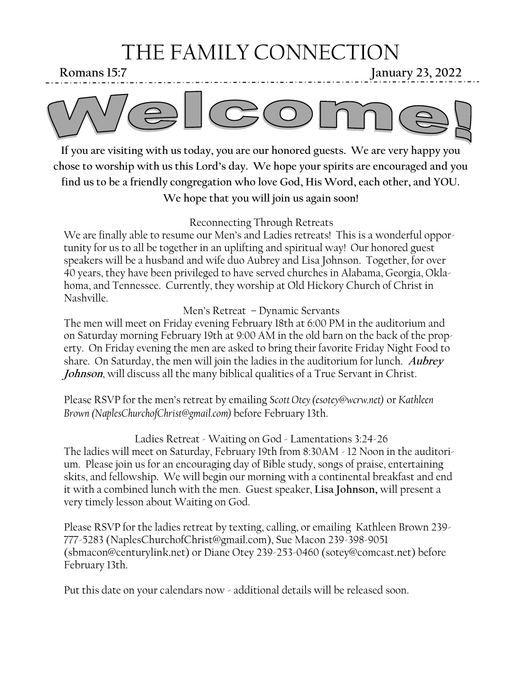## THE FAMILY CONNECTION

**Romans 15:7** January 23, 2022



**If you are visiting with us today, you are our honored guests. We are very happy you chose to worship with us this Lord's day. We hope your spirits are encouraged and you find us to be a friendly congregation who love God, His Word, each other, and YOU. We hope that you will join us again soon!**

Reconnecting Through Retreats

We are finally able to resume our Men's and Ladies retreats! This is a wonderful opportunity for us to all be together in an uplifting and spiritual way! Our honored guest speakers will be a husband and wife duo Aubrey and Lisa Johnson. Together, for over 40 years, they have been privileged to have served churches in Alabama, Georgia, Oklahoma, and Tennessee. Currently, they worship at Old Hickory Church of Christ in Nashville.

Men's Retreat – Dynamic Servants

The men will meet on Friday evening February 18th at 6:00 PM in the auditorium and on Saturday morning February 19th at 9:00 AM in the old barn on the back of the property. On Friday evening the men are asked to bring their favorite Friday Night Food to share. On Saturday, the men will join the ladies in the auditorium for lunch. **Aubrey Johnson**, will discuss all the many biblical qualities of a True Servant in Christ.

Please RSVP for the men's retreat by emailing *Scott Otey (esotey@wcrw.net)* or *Kathleen Brown (NaplesChurchofChrist@gmail.com)* before February 13th.

Ladies Retreat - Waiting on God - Lamentations 3:24-26 The ladies will meet on Saturday, February 19th from 8:30AM - 12 Noon in the auditorium. Please join us for an encouraging day of Bible study, songs of praise, entertaining skits, and fellowship. We will begin our morning with a continental breakfast and end it with a combined lunch with the men. Guest speaker, **Lisa Johnson,** will present a very timely lesson about Waiting on God.

Please RSVP for the ladies retreat by texting, calling, or emailing Kathleen Brown 239- 777-5283 (NaplesChurchofChrist@gmail.com), Sue Macon 239-398-9051 (sbmacon@centurylink.net) or Diane Otey 239-253-0460 (sotey@comcast.net) before February 13th.

Put this date on your calendars now - additional details will be released soon.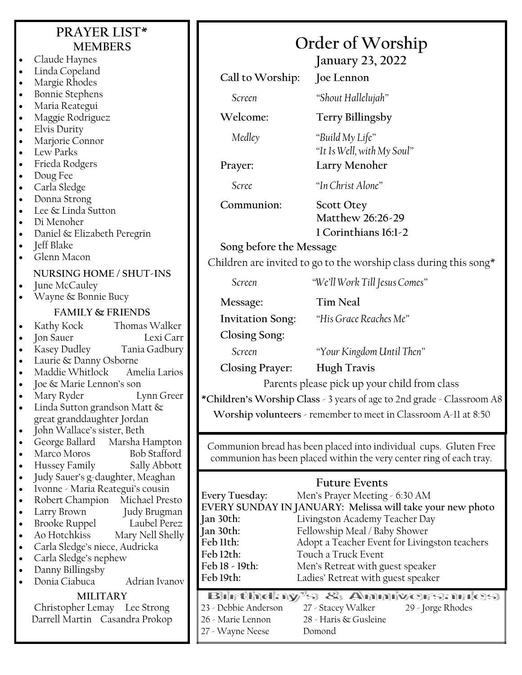| PRAYER LIST*<br><b>MEMBERS</b>                  |                                                                   | Order of Worship                                                       |                                                                                             |  |  |  |
|-------------------------------------------------|-------------------------------------------------------------------|------------------------------------------------------------------------|---------------------------------------------------------------------------------------------|--|--|--|
| $\bullet$                                       | Claude Haynes                                                     | <b>January 23, 2022</b>                                                |                                                                                             |  |  |  |
| $\bullet$                                       | Linda Copeland                                                    |                                                                        |                                                                                             |  |  |  |
| $\bullet$                                       | Margie Rhodes                                                     | Call to Worship:                                                       | Joe Lennon                                                                                  |  |  |  |
| $\bullet$                                       | <b>Bonnie Stephens</b>                                            | Screen                                                                 | "Shout Hallelujah"                                                                          |  |  |  |
| $\bullet$                                       | Maria Reategui                                                    |                                                                        |                                                                                             |  |  |  |
| $\bullet$                                       | Maggie Rodriguez                                                  | Welcome:                                                               | <b>Terry Billingsby</b>                                                                     |  |  |  |
| $\bullet$                                       | Elvis Durity                                                      | Medley                                                                 | "Build My Life"                                                                             |  |  |  |
| $\bullet$<br>$\bullet$                          | Marjorie Connor<br>Lew Parks                                      |                                                                        | "It Is Well, with My Soul"                                                                  |  |  |  |
| $\bullet$                                       | Frieda Rodgers                                                    | Prayer:                                                                | Larry Menoher                                                                               |  |  |  |
| $\bullet$                                       | Doug Fee                                                          |                                                                        |                                                                                             |  |  |  |
| $\bullet$                                       | Carla Sledge                                                      | Scree                                                                  | "In Christ Alone"                                                                           |  |  |  |
| $\bullet$                                       | Donna Strong                                                      | Communion:                                                             | <b>Scott Otey</b>                                                                           |  |  |  |
| $\bullet$                                       | Lee & Linda Sutton                                                |                                                                        | Matthew 26:26-29                                                                            |  |  |  |
| $\bullet$                                       | Di Menoher                                                        |                                                                        | 1 Corinthians 16:1-2                                                                        |  |  |  |
| $\bullet$                                       | Daniel & Elizabeth Peregrin<br>Jeff Blake                         |                                                                        |                                                                                             |  |  |  |
| $\bullet$<br>$\bullet$                          | Glenn Macon                                                       | Song before the Message                                                |                                                                                             |  |  |  |
|                                                 |                                                                   |                                                                        | Children are invited to go to the worship class during this song*                           |  |  |  |
| $\bullet$                                       | NURSING HOME / SHUT-INS<br>June McCauley                          | Screen                                                                 | "We'll Work Till Jesus Comes"                                                               |  |  |  |
| $\bullet$                                       | Wayne & Bonnie Bucy                                               |                                                                        |                                                                                             |  |  |  |
|                                                 | <b>FAMILY &amp; FRIENDS</b>                                       | Message:                                                               | <b>Tim Neal</b>                                                                             |  |  |  |
| $\bullet$                                       | Thomas Walker<br>Kathy Kock                                       | <b>Invitation Song:</b>                                                | "His Grace Reaches Me"                                                                      |  |  |  |
| $\bullet$                                       | Jon Sauer<br>Lexi Carr                                            | Closing Song:                                                          |                                                                                             |  |  |  |
| $\bullet$                                       | Kasey Dudley<br>Tania Gadbury                                     | Screen                                                                 | "Your Kingdom Until Then"                                                                   |  |  |  |
| $\bullet$                                       | Laurie & Danny Osborne                                            |                                                                        |                                                                                             |  |  |  |
| $\bullet$                                       | Maddie Whitlock<br>Amelia Larios                                  | <b>Closing Prayer:</b>                                                 | <b>Hugh Travis</b>                                                                          |  |  |  |
|                                                 | Joe & Marie Lennon's son<br>Mary Ryder<br>Lynn Greer              | Parents please pick up your child from class                           |                                                                                             |  |  |  |
| $\bullet$                                       | Linda Sutton grandson Matt &                                      | *Children's Worship Class - 3 years of age to 2nd grade - Classroom A8 |                                                                                             |  |  |  |
|                                                 | great granddaughter Jordan                                        | Worship volunteers - remember to meet in Classroom A-11 at 8:50        |                                                                                             |  |  |  |
| $\bullet$                                       | John Wallace's sister, Beth                                       |                                                                        |                                                                                             |  |  |  |
| $\bullet$                                       | Marsha Hampton<br>George Ballard                                  | Communion bread has been placed into individual cups. Gluten Free      |                                                                                             |  |  |  |
| $\bullet$                                       | <b>Bob Stafford</b><br>Marco Moros                                | communion has been placed within the very center ring of each tray.    |                                                                                             |  |  |  |
| $\bullet$<br>$\bullet$                          | Hussey Family<br>Sally Abbott<br>Judy Sauer's g-daughter, Meaghan |                                                                        |                                                                                             |  |  |  |
| $\bullet$                                       | Ivonne - Maria Reategui's cousin                                  | <b>Future Events</b>                                                   |                                                                                             |  |  |  |
| $\bullet$                                       | Robert Champion Michael Presto                                    | Every Tuesday:                                                         | Men's Prayer Meeting - 6:30 AM                                                              |  |  |  |
| $\bullet$                                       | Larry Brown<br>Judy Brugman                                       | Jan 30th:                                                              | EVERY SUNDAY IN JANUARY: Melissa will take your new photo<br>Livingston Academy Teacher Day |  |  |  |
| $\bullet$                                       | Brooke Ruppel Laubel Perez                                        | Jan 30th:                                                              | Fellowship Meal / Baby Shower                                                               |  |  |  |
| $\bullet$                                       | Mary Nell Shelly<br>Ao Hotchkiss                                  | Feb 11th:                                                              | Adopt a Teacher Event for Livingston teachers                                               |  |  |  |
| $\bullet$<br>$\bullet$                          | Carla Sledge's niece, Audricka<br>Carla Sledge's nephew           | Feb 12th:                                                              | Touch a Truck Event                                                                         |  |  |  |
| $\bullet$                                       | Danny Billingsby                                                  | Feb 18 - 19th:                                                         | Men's Retreat with guest speaker                                                            |  |  |  |
|                                                 | Adrian Ivanov<br>Donia Ciabuca                                    | Feb 19th:                                                              | Ladies' Retreat with guest speaker                                                          |  |  |  |
| <b>MILITARY</b><br>Christopher Lemay Lee Strong |                                                                   | Bilrthday's & Anniversaries                                            |                                                                                             |  |  |  |
|                                                 |                                                                   | 23 - Debbie Anderson<br>27 - Stacey Walker<br>29 - Jorge Rhodes        |                                                                                             |  |  |  |
|                                                 | Darrell Martin Casandra Prokop                                    | 26 - Marie Lennon                                                      | 28 - Haris & Gusleine                                                                       |  |  |  |
|                                                 |                                                                   | 27 - Wayne Neese                                                       | Domond                                                                                      |  |  |  |
|                                                 |                                                                   |                                                                        |                                                                                             |  |  |  |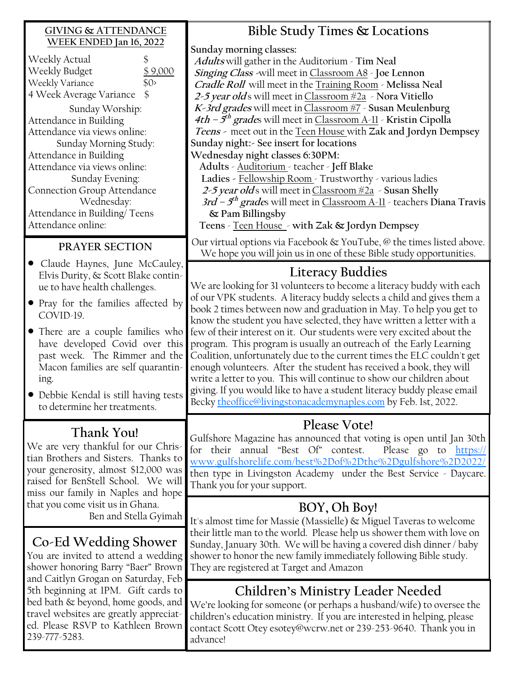## **GIVING & ATTENDANCE WEEK ENDED Jan 16, 2022**

| WEEN EINDED Jail 10, 2022<br>Weekly Actual<br>Weekly Budget<br>\$9,000<br>Weekly Variance<br>\$0<br>4 Week Average Variance<br>S<br>Sunday Worship:<br>Attendance in Building<br>Attendance via views online:<br>Sunday Morning Study:<br>Attendance in Building<br>Attendance via views online:<br>Sunday Evening:<br><b>Connection Group Attendance</b><br>Wednesday:<br>Attendance in Building/Teens<br>Attendance online: | Sunday morning classes:<br>Adults will gather in the Auditorium - Tim Neal<br>Singing Class -will meet in Classroom A8 - Joe Lennon<br>Cradle Roll will meet in the Training Room - Melissa Neal<br>2-5 year olds will meet in Classroom #2a > Nora Vitiello<br>K-3rd grades will meet in Classroom #7 - Susan Meulenburg<br>4th – $5th$ grades will meet in Classroom A-11 - Kristin Cipolla<br>Teens - meet out in the Teen House with Zak and Jordyn Dempsey<br>Sunday night: - See insert for locations<br>Wednesday night classes 6:30PM:<br>Adults - Auditorium - teacher - Jeff Blake<br>Ladies - Fellowship Room - Trustworthy - various ladies<br>2-5 year olds will meet in Classroom #2a - Susan Shelly<br>3rd – $5^{th}$ grades will meet in Classroom A-11 - teachers Diana Travis<br>& Pam Billingsby<br>Teens - Teen House - with Zak & Jordyn Dempsey |
|-------------------------------------------------------------------------------------------------------------------------------------------------------------------------------------------------------------------------------------------------------------------------------------------------------------------------------------------------------------------------------------------------------------------------------|-----------------------------------------------------------------------------------------------------------------------------------------------------------------------------------------------------------------------------------------------------------------------------------------------------------------------------------------------------------------------------------------------------------------------------------------------------------------------------------------------------------------------------------------------------------------------------------------------------------------------------------------------------------------------------------------------------------------------------------------------------------------------------------------------------------------------------------------------------------------------|
| PRAYER SECTION                                                                                                                                                                                                                                                                                                                                                                                                                | Our virtual options via Facebook & YouTube, @ the times listed above.<br>We hope you will join us in one of these Bible study opportunities.                                                                                                                                                                                                                                                                                                                                                                                                                                                                                                                                                                                                                                                                                                                          |
| Claude Haynes, June McCauley,<br>Elvis Durity, & Scott Blake contin-<br>ue to have health challenges.<br>• Pray for the families affected by<br>COVID-19.<br>• There are a couple families who<br>have developed Covid over this<br>past week. The Rimmer and the<br>Macon families are self quarantin-<br>ing.<br>• Debbie Kendal is still having tests<br>to determine her treatments.                                      | <b>Literacy Buddies</b><br>We are looking for 31 volunteers to become a literacy buddy with each<br>of our VPK students. A literacy buddy selects a child and gives them a<br>book 2 times between now and graduation in May. To help you get to<br>know the student you have selected, they have written a letter with a<br>few of their interest on it. Our students were very excited about the<br>program. This program is usually an outreach of the Early Learning<br>Coalition, unfortunately due to the current times the ELC couldn't get<br>enough volunteers. After the student has received a book, they will<br>write a letter to you. This will continue to show our children about<br>giving. If you would like to have a student literacy buddy please email<br>Becky theoffice@livingstonacademynaples.com by Feb. 1st, 2022.                        |
| Thank You!<br>We are very thankful for our Chris-<br>tian Brothers and Sisters. Thanks to<br>your generosity, almost \$12,000 was<br>raised for BenStell School. We will<br>miss our family in Naples and hope                                                                                                                                                                                                                | Please Vote!<br>Gulfshore Magazine has announced that voting is open until Jan 30th<br>for their annual "Best Of" contest.<br>Please go to https://<br>www.gulfshorelife.com/best%2Dof%2Dthe%2Dgulfshore%2D2022/<br>then type in Livingston Academy under the Best Service - Daycare.<br>Thank you for your support.                                                                                                                                                                                                                                                                                                                                                                                                                                                                                                                                                  |
| that you come visit us in Ghana.<br>Ben and Stella Gyimah<br>Co-Ed Wedding Shower<br>You are invited to attend a wedding<br>shower honoring Barry "Baer" Brown                                                                                                                                                                                                                                                                | BOY, Oh Boy!<br>It's almost time for Massie (Massielle) & Miguel Taveras to welcome<br>their little man to the world. Please help us shower them with love on<br>Sunday, January 30th. We will be having a covered dish dinner / baby<br>shower to honor the new family immediately following Bible study.<br>They are registered at Target and Amazon                                                                                                                                                                                                                                                                                                                                                                                                                                                                                                                |
| and Caitlyn Grogan on Saturday, Feb<br>5th beginning at IPM. Gift cards to<br>bed bath & beyond, home goods, and<br>travel websites are greatly appreciat-<br>ed. Please RSVP to Kathleen Brown<br>239-777-5283.                                                                                                                                                                                                              | <b>Children's Ministry Leader Needed</b><br>We're looking for someone (or perhaps a husband/wife) to oversee the<br>children's education ministry. If you are interested in helping, please<br>contact Scott Otey esotey@wcrw.net or 239-253-9640. Thank you in<br>advance!                                                                                                                                                                                                                                                                                                                                                                                                                                                                                                                                                                                           |

**Bible Study Times & Locations**